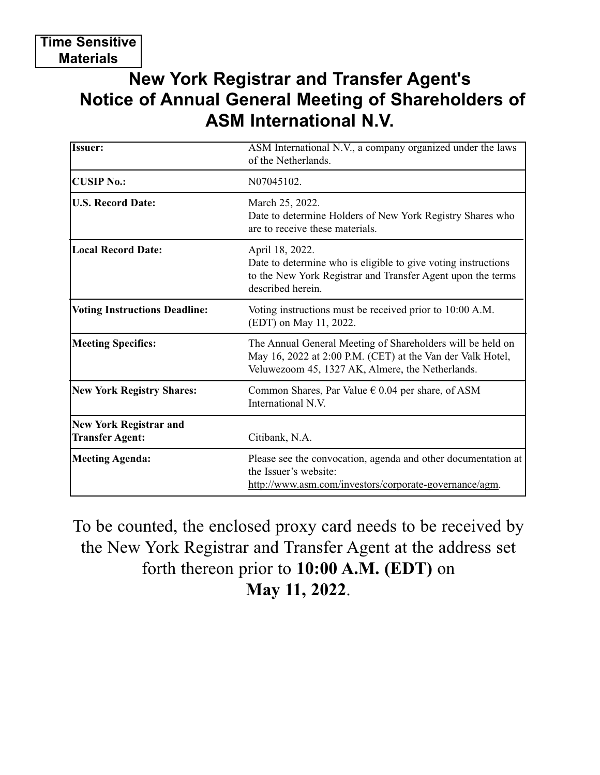## **New York Registrar and Transfer Agent's Notice of Annual General Meeting of Shareholders of ASM International N.V.**

| <b>Issuer:</b>                                          | ASM International N.V., a company organized under the laws<br>of the Netherlands.                                                                                            |
|---------------------------------------------------------|------------------------------------------------------------------------------------------------------------------------------------------------------------------------------|
| <b>CUSIP No.:</b>                                       | N07045102.                                                                                                                                                                   |
| <b>U.S. Record Date:</b>                                | March 25, 2022.<br>Date to determine Holders of New York Registry Shares who<br>are to receive these materials.                                                              |
| <b>Local Record Date:</b>                               | April 18, 2022.<br>Date to determine who is eligible to give voting instructions<br>to the New York Registrar and Transfer Agent upon the terms<br>described herein.         |
| <b>Voting Instructions Deadline:</b>                    | Voting instructions must be received prior to 10:00 A.M.<br>(EDT) on May 11, 2022.                                                                                           |
| <b>Meeting Specifics:</b>                               | The Annual General Meeting of Shareholders will be held on<br>May 16, 2022 at 2:00 P.M. (CET) at the Van der Valk Hotel,<br>Veluwezoom 45, 1327 AK, Almere, the Netherlands. |
| <b>New York Registry Shares:</b>                        | Common Shares, Par Value $\epsilon$ 0.04 per share, of ASM<br>International N.V.                                                                                             |
| <b>New York Registrar and</b><br><b>Transfer Agent:</b> | Citibank, N.A.                                                                                                                                                               |
| Meeting Agenda:                                         | Please see the convocation, agenda and other documentation at<br>the Issuer's website:<br>http://www.asm.com/investors/corporate-governance/agm.                             |

To be counted, the enclosed proxy card needs to be received by the New York Registrar and Transfer Agent at the address set forth thereon prior to **10:00 A.M. (EDT)** on **May 11, 2022**.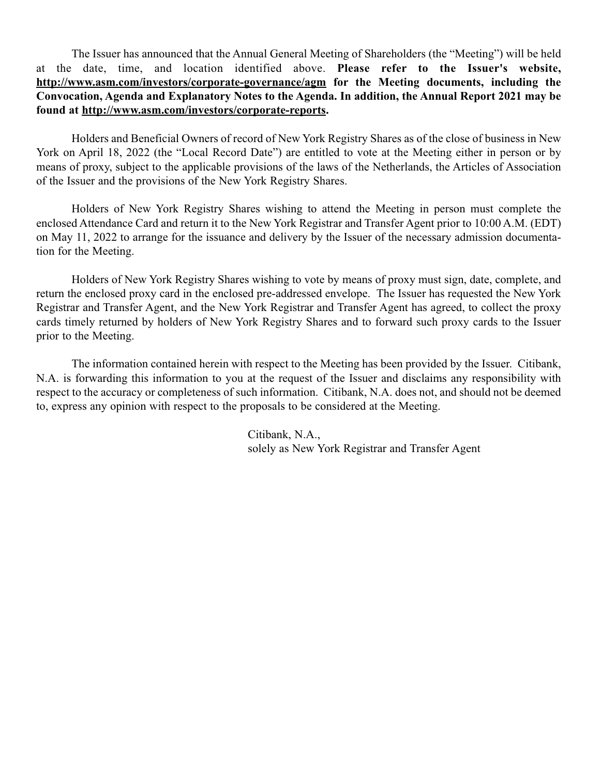The Issuer has announced that the Annual General Meeting of Shareholders (the "Meeting") will be held at the date, time, and location identified above. **Please refer to the Issuer's website, http://www.asm.com/investors/corporate-governance/agm for the Meeting documents, including the Convocation, Agenda and Explanatory Notes to the Agenda. In addition, the Annual Report 2021 may be found at http://www.asm.com/investors/corporate-reports.**

Holders and Beneficial Owners of record of New York Registry Shares as of the close of business in New York on April 18, 2022 (the "Local Record Date") are entitled to vote at the Meeting either in person or by means of proxy, subject to the applicable provisions of the laws of the Netherlands, the Articles of Association of the Issuer and the provisions of the New York Registry Shares.

Holders of New York Registry Shares wishing to attend the Meeting in person must complete the enclosed Attendance Card and return it to the New York Registrar and Transfer Agent prior to 10:00 A.M. (EDT) on May 11, 2022 to arrange for the issuance and delivery by the Issuer of the necessary admission documentation for the Meeting.

Holders of New York Registry Shares wishing to vote by means of proxy must sign, date, complete, and return the enclosed proxy card in the enclosed pre-addressed envelope. The Issuer has requested the New York Registrar and Transfer Agent, and the New York Registrar and Transfer Agent has agreed, to collect the proxy cards timely returned by holders of New York Registry Shares and to forward such proxy cards to the Issuer prior to the Meeting.

The information contained herein with respect to the Meeting has been provided by the Issuer. Citibank, N.A. is forwarding this information to you at the request of the Issuer and disclaims any responsibility with respect to the accuracy or completeness of such information. Citibank, N.A. does not, and should not be deemed to, express any opinion with respect to the proposals to be considered at the Meeting.

> Citibank, N.A., solely as New York Registrar and Transfer Agent